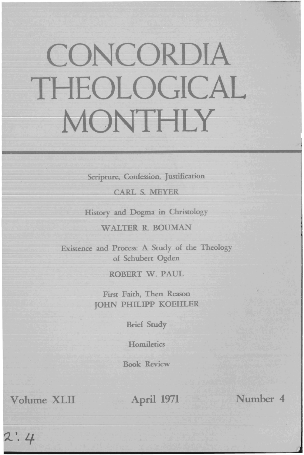## CONCORDIA THEOLOGICAL MONTHLY

Scripture, Confession, Justification

**CARL S. MEYER** 

History and Dogma in Christology

WALTER R BOUMAN

Existence and Process: A Study of the Theology of Schubert Ogden

ROBERT W. PAUL

First Faith, Then Reason JOHN PHILIPP KOEHLER

Brief Study

**Homiletics** 

Book Review

Volume XLII April 1971 Number 4

 $2:4$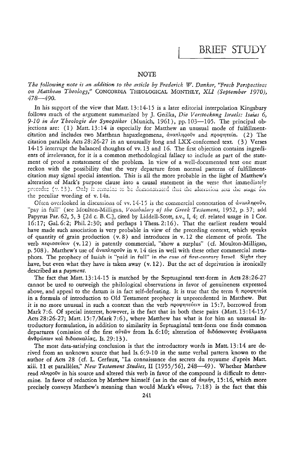## **NOTE**

The following note is an addition to the article by Frederick W. Danker, "Fresh Perspectives on Matthean Theology," CONCORDIA THEOLOGICAL MONTHLY, XLI (September 1970),  $478 - 490.$ 

In his support of the view that Matt.  $13:14-15$  is a later editorial interpolation Kingsbury follows much of the argument summarized by J. Gnilka, Die Verstockung Israels: Isaias 6, 9-10 in der Theologie der Synoptiker (Munich, 1961), pp. 103-105. The principal objections are: (1) Matt. 13:14 is especially for Matthew an unusual mode of fulfillmentcitation and includes two Matthean hapaxlegomena,  $\dot{\alpha}$  van  $\lambda$ negov and προφητεία. (2) The citation parallels Acts 28:26-27 in an unusually long and LXX-conformed text. (3) Verses 14-15 interrupt the balanced thoughts of vv. 13 and 16. The first objection contains ingredients of irrelevance, for it is a common methodological fallacy to include as part of the statement of proof a restatement of the problem. In view of a well-documented text one must reckon with the possibility that the very departure from normal patterns of fulfillmentcitation may signal special intention. This is all the more probable in the light of Matthew's alteration of Mark's purpose clause into a causal statement in the verse that immediately precedes (v. 13). Only it remains to be demonstrated that the alteration sets the stage for the peculiar wording of v. 14a.

Often overlooked in discussions of  $vv$ . 14-15 is the commercial connotation of  $\alpha v$  and  $\gamma v$ "pay in full" (see Moulton-Milligan, Vocabulary of the Greek Testament, 1952, p. 37; add Papyrus Par. 62, 5, 3 [2d c. B. C.], cited by Liddell-Scott, s.v., I, 4; cf. related usage in 1 Cor. 16:17; Gal. 6:2; Phil. 2:30; and perhaps 1 Thess. 2:16). That the earliest readers would have made such association is very probable in view of the preceding context, which speaks of quantity of grain production  $(v, 8)$  and introduces in  $v, 12$  the element of profit. The verb περισσεύειν (v. 12) is patently commercial, "show a surplus" (cf. Moulton-Milligan, p. 508). Matthew's use of  $\alpha$ va $\pi\lambda$ ngov in v. 14 ties in well with these other commercial metaphors. The prophecy of Isaiah is "paid in full" in the case of first-century Israel. Sight they have, but even what they have is taken away  $(v, 12)$ . But the act of deprivation is ironically described as a payment.

The fact that Matt. 13:14-15 is matched by the Septuagintal text-form in Acts 28:26-27 cannot be used to outweigh the philological observations in favor of genuineness expressed above, and appeal to the datum is in fact self-defeating. It is true that the term  $\eta$  προφητεία in a formula of introduction to Old Testament prophecy is unprecedented in Matthew. But it is no more unusual in such a context than the verb  $\pi\varrho$  open rever in 15:7, borrowed from Mark 7:6. Of special interest, however, is the fact that in both these pairs (Matt. 13:14-15/ Acts 28:26-27; Matt. 15:7/Mark 7:6), where Matthew has what is for him an unusual introductory formulation, in addition to similarity in Septuagintal text-form one finds common departures (omission of the first αύτῶν from Is. 6:10; alteration of διδάσχοντες έντάλματα άνθρώπων καί διδασκαλίας, Is. 29:13).

The most data-satisfying conclusion is that the introductory words in Matt. 13:14 are derived from an unknown source that had Is. 6:9-10 in the same verbal pattern known to the author of Acts 28 (cf. L. Cerfaux, "La connaissance des secrets du royaume d'après Matt. xiii. 11 et parallèles," New Testament Studies, II [1955/56], 248-49). Whether Matthew read πληρούν in his source and altered this verb in favor of the compound is difficult to determine. In favor of redaction by Matthew himself (as in the case of απρήν, 15:16, which more precisely conveys Matthew's meaning than would Mark's  $0.7:18$ ) is the fact that this